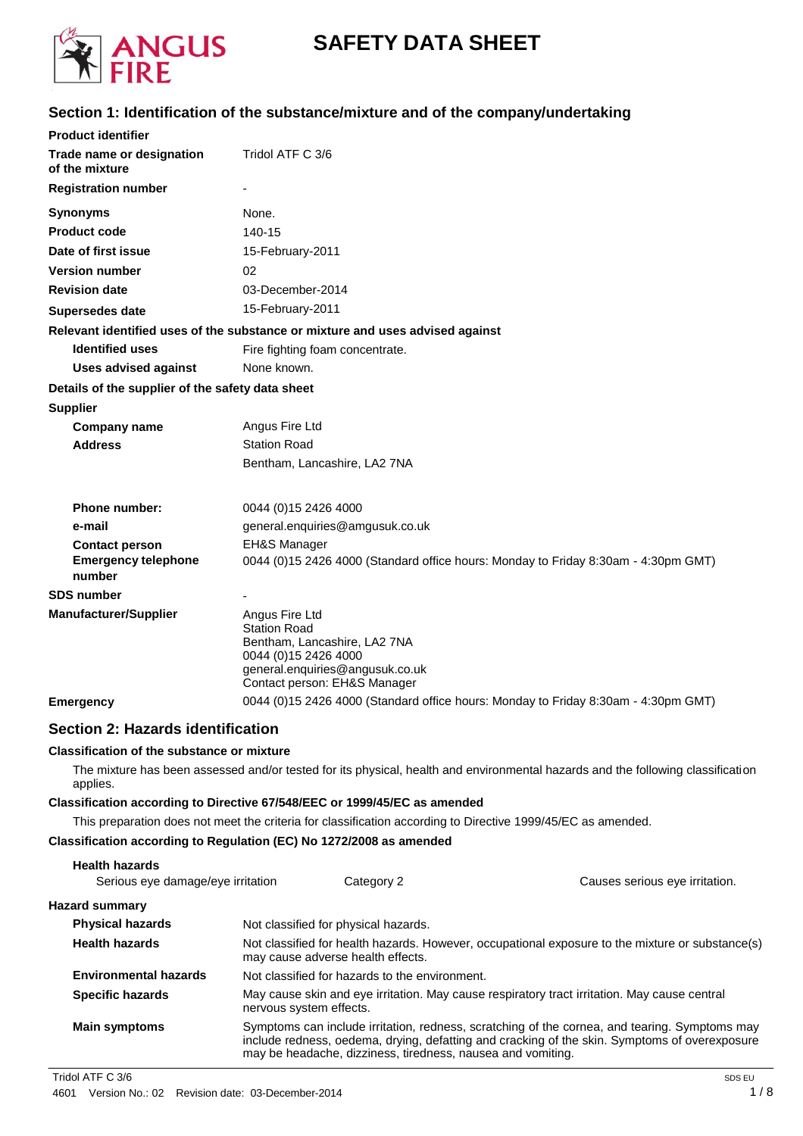

# **SAFETY DATA SHEET**

### **Section 1: Identification of the substance/mixture and of the company/undertaking**

| <b>Product identifier</b>                        |                                                                                                                                                                   |
|--------------------------------------------------|-------------------------------------------------------------------------------------------------------------------------------------------------------------------|
| Trade name or designation<br>of the mixture      | Tridol ATF C 3/6                                                                                                                                                  |
| <b>Registration number</b>                       |                                                                                                                                                                   |
| <b>Synonyms</b>                                  | None.                                                                                                                                                             |
| <b>Product code</b>                              | $140 - 15$                                                                                                                                                        |
| Date of first issue                              | 15-February-2011                                                                                                                                                  |
| <b>Version number</b>                            | 02                                                                                                                                                                |
| <b>Revision date</b>                             | 03-December-2014                                                                                                                                                  |
| Supersedes date                                  | 15-February-2011                                                                                                                                                  |
|                                                  | Relevant identified uses of the substance or mixture and uses advised against                                                                                     |
| <b>Identified uses</b>                           | Fire fighting foam concentrate.                                                                                                                                   |
| <b>Uses advised against</b>                      | None known.                                                                                                                                                       |
| Details of the supplier of the safety data sheet |                                                                                                                                                                   |
| <b>Supplier</b>                                  |                                                                                                                                                                   |
| <b>Company name</b>                              | Angus Fire Ltd                                                                                                                                                    |
| <b>Address</b>                                   | <b>Station Road</b>                                                                                                                                               |
|                                                  | Bentham, Lancashire, LA2 7NA                                                                                                                                      |
| <b>Phone number:</b>                             | 0044 (0) 15 2426 4000                                                                                                                                             |
| e-mail                                           | general.enquiries@amgusuk.co.uk                                                                                                                                   |
| <b>Contact person</b>                            | <b>EH&amp;S Manager</b>                                                                                                                                           |
| <b>Emergency telephone</b><br>number             | 0044 (0)15 2426 4000 (Standard office hours: Monday to Friday 8:30am - 4:30pm GMT)                                                                                |
| <b>SDS</b> number                                |                                                                                                                                                                   |
| <b>Manufacturer/Supplier</b>                     | Angus Fire Ltd<br><b>Station Road</b><br>Bentham, Lancashire, LA2 7NA<br>0044 (0) 15 2426 4000<br>general.enquiries@angusuk.co.uk<br>Contact person: EH&S Manager |
| <b>Emergency</b>                                 | 0044 (0)15 2426 4000 (Standard office hours: Monday to Friday 8:30am - 4:30pm GMT)                                                                                |

### **Section 2: Hazards identification**

#### **Classification of the substance or mixture**

The mixture has been assessed and/or tested for its physical, health and environmental hazards and the following classification applies.

### **Classification according to Directive 67/548/EEC or 1999/45/EC as amended**

This preparation does not meet the criteria for classification according to Directive 1999/45/EC as amended.

### **Classification according to Regulation (EC) No 1272/2008 as amended**

| <b>Health hazards</b>             |                                                                                                                                       |                                                                                                                                                                                                |  |
|-----------------------------------|---------------------------------------------------------------------------------------------------------------------------------------|------------------------------------------------------------------------------------------------------------------------------------------------------------------------------------------------|--|
| Serious eye damage/eye irritation | Category 2                                                                                                                            | Causes serious eye irritation.                                                                                                                                                                 |  |
| Hazard summary                    |                                                                                                                                       |                                                                                                                                                                                                |  |
| <b>Physical hazards</b>           | Not classified for physical hazards.                                                                                                  |                                                                                                                                                                                                |  |
| <b>Health hazards</b>             | Not classified for health hazards. However, occupational exposure to the mixture or substance(s)<br>may cause adverse health effects. |                                                                                                                                                                                                |  |
| <b>Environmental hazards</b>      | Not classified for hazards to the environment.                                                                                        |                                                                                                                                                                                                |  |
| <b>Specific hazards</b>           | May cause skin and eye irritation. May cause respiratory tract irritation. May cause central<br>nervous system effects.               |                                                                                                                                                                                                |  |
| <b>Main symptoms</b>              | may be headache, dizziness, tiredness, nausea and vomiting.                                                                           | Symptoms can include irritation, redness, scratching of the cornea, and tearing. Symptoms may<br>include redness, oedema, drying, defatting and cracking of the skin. Symptoms of overexposure |  |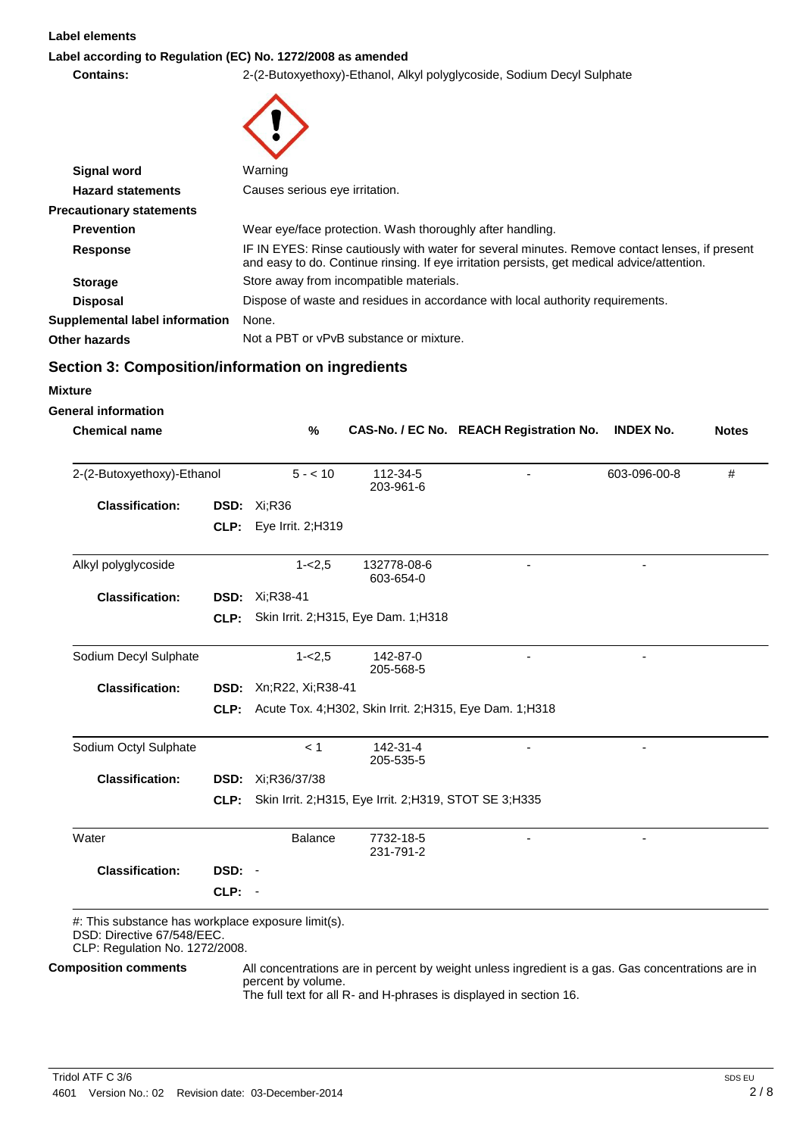#### **Label elements**

### **Label according to Regulation (EC) No. 1272/2008 as amended**

**Contains:** 2-(2-Butoxyethoxy)-Ethanol, Alkyl polyglycoside, Sodium Decyl Sulphate

| <b>Signal word</b>                                                                                                 | Warning                  |                                |                                                                |                                                                                                                                                                                               |                  |              |
|--------------------------------------------------------------------------------------------------------------------|--------------------------|--------------------------------|----------------------------------------------------------------|-----------------------------------------------------------------------------------------------------------------------------------------------------------------------------------------------|------------------|--------------|
| <b>Hazard statements</b>                                                                                           |                          | Causes serious eye irritation. |                                                                |                                                                                                                                                                                               |                  |              |
| <b>Precautionary statements</b>                                                                                    |                          |                                |                                                                |                                                                                                                                                                                               |                  |              |
| <b>Prevention</b>                                                                                                  |                          |                                | Wear eye/face protection. Wash thoroughly after handling.      |                                                                                                                                                                                               |                  |              |
| <b>Response</b>                                                                                                    |                          |                                |                                                                | IF IN EYES: Rinse cautiously with water for several minutes. Remove contact lenses, if present<br>and easy to do. Continue rinsing. If eye irritation persists, get medical advice/attention. |                  |              |
| <b>Storage</b>                                                                                                     |                          |                                | Store away from incompatible materials.                        |                                                                                                                                                                                               |                  |              |
| <b>Disposal</b>                                                                                                    |                          |                                |                                                                | Dispose of waste and residues in accordance with local authority requirements.                                                                                                                |                  |              |
| <b>Supplemental label information</b>                                                                              | None.                    |                                |                                                                |                                                                                                                                                                                               |                  |              |
| <b>Other hazards</b>                                                                                               |                          |                                | Not a PBT or vPvB substance or mixture.                        |                                                                                                                                                                                               |                  |              |
| Section 3: Composition/information on ingredients                                                                  |                          |                                |                                                                |                                                                                                                                                                                               |                  |              |
| <b>Mixture</b>                                                                                                     |                          |                                |                                                                |                                                                                                                                                                                               |                  |              |
| <b>General information</b>                                                                                         |                          |                                |                                                                |                                                                                                                                                                                               |                  |              |
| <b>Chemical name</b>                                                                                               |                          | %                              |                                                                | CAS-No. / EC No. REACH Registration No.                                                                                                                                                       | <b>INDEX No.</b> | <b>Notes</b> |
| 2-(2-Butoxyethoxy)-Ethanol                                                                                         |                          | $5 - 10$                       | 112-34-5<br>203-961-6                                          |                                                                                                                                                                                               | 603-096-00-8     | #            |
| <b>Classification:</b>                                                                                             | <b>DSD: Xi;R36</b>       |                                |                                                                |                                                                                                                                                                                               |                  |              |
|                                                                                                                    | CLP: Eye Irrit. $2;H319$ |                                |                                                                |                                                                                                                                                                                               |                  |              |
|                                                                                                                    |                          |                                |                                                                |                                                                                                                                                                                               |                  |              |
| Alkyl polyglycoside                                                                                                |                          | $1 - 2.5$                      | 132778-08-6<br>603-654-0                                       |                                                                                                                                                                                               |                  |              |
| <b>Classification:</b>                                                                                             | <b>DSD:</b> Xi:R38-41    |                                |                                                                |                                                                                                                                                                                               |                  |              |
|                                                                                                                    | CLP:                     |                                | Skin Irrit. 2; H315, Eye Dam. 1; H318                          |                                                                                                                                                                                               |                  |              |
| Sodium Decyl Sulphate                                                                                              |                          | $1 - 2.5$                      | 142-87-0                                                       |                                                                                                                                                                                               |                  |              |
| <b>Classification:</b>                                                                                             | DSD: Xn;R22, Xi;R38-41   |                                | 205-568-5                                                      |                                                                                                                                                                                               |                  |              |
|                                                                                                                    |                          |                                | CLP: Acute Tox. 4; H302, Skin Irrit. 2; H315, Eye Dam. 1; H318 |                                                                                                                                                                                               |                  |              |
|                                                                                                                    |                          |                                |                                                                |                                                                                                                                                                                               |                  |              |
| Sodium Octyl Sulphate                                                                                              |                          | < 1                            | 142-31-4<br>205-535-5                                          |                                                                                                                                                                                               |                  |              |
| <b>Classification:</b>                                                                                             | <b>DSD:</b> Xi;R36/37/38 |                                |                                                                |                                                                                                                                                                                               |                  |              |
|                                                                                                                    | CLP:                     |                                | Skin Irrit. 2; H315, Eye Irrit. 2; H319, STOT SE 3; H335       |                                                                                                                                                                                               |                  |              |
| Water                                                                                                              |                          | <b>Balance</b>                 | 7732-18-5<br>231-791-2                                         |                                                                                                                                                                                               |                  |              |
| <b>Classification:</b>                                                                                             | DSD: -                   |                                |                                                                |                                                                                                                                                                                               |                  |              |
| CLP:                                                                                                               | - 1                      |                                |                                                                |                                                                                                                                                                                               |                  |              |
| #: This substance has workplace exposure limit(s).<br>DSD: Directive 67/548/EEC.<br>CLP: Regulation No. 1272/2008. |                          |                                |                                                                |                                                                                                                                                                                               |                  |              |
| <b>Composition comments</b>                                                                                        | percent by volume.       |                                |                                                                | All concentrations are in percent by weight unless ingredient is a gas. Gas concentrations are in<br>The full text for all R- and H-phrases is displayed in section 16.                       |                  |              |

The full text for all R- and H-phrases is displayed in section 16.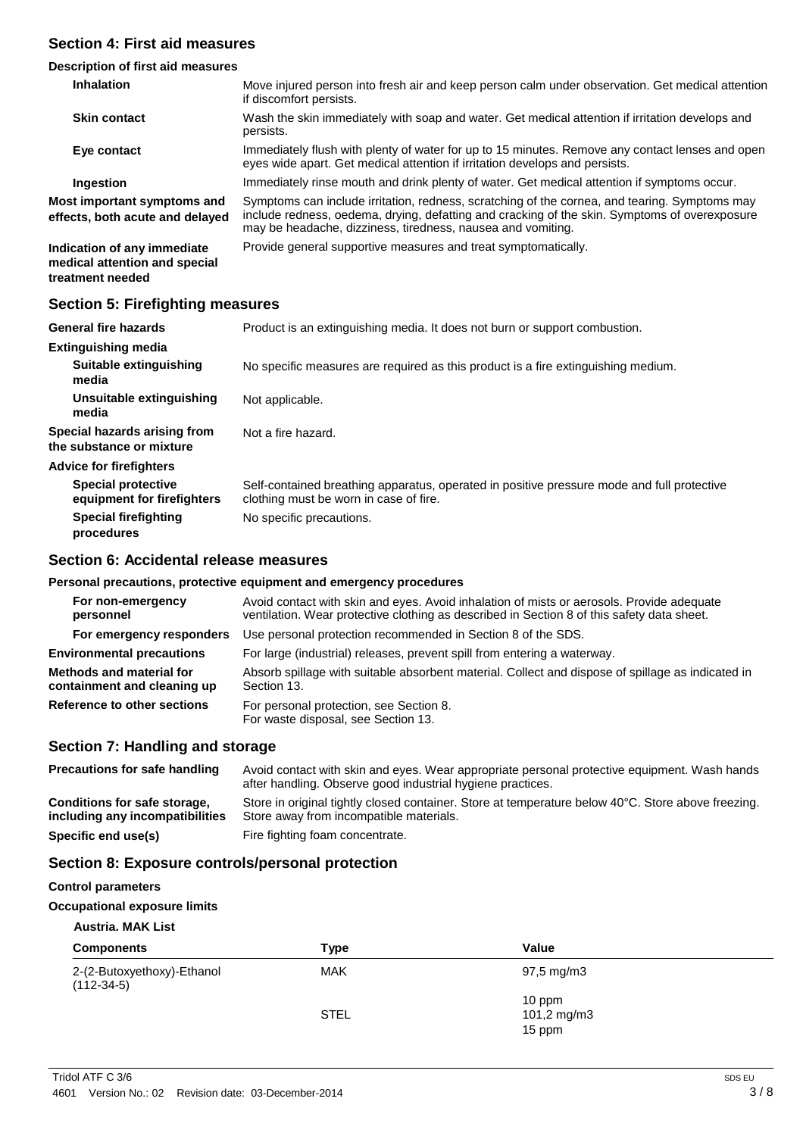### **Section 4: First aid measures**

### **Description of first aid measures**

| <b>Inhalation</b>                                                                | Move injured person into fresh air and keep person calm under observation. Get medical attention<br>if discomfort persists.                                                                                                                                   |
|----------------------------------------------------------------------------------|---------------------------------------------------------------------------------------------------------------------------------------------------------------------------------------------------------------------------------------------------------------|
| <b>Skin contact</b>                                                              | Wash the skin immediately with soap and water. Get medical attention if irritation develops and<br>persists.                                                                                                                                                  |
| Eye contact                                                                      | Immediately flush with plenty of water for up to 15 minutes. Remove any contact lenses and open<br>eyes wide apart. Get medical attention if irritation develops and persists.                                                                                |
| Ingestion                                                                        | Immediately rinse mouth and drink plenty of water. Get medical attention if symptoms occur.                                                                                                                                                                   |
| Most important symptoms and<br>effects, both acute and delayed                   | Symptoms can include irritation, redness, scratching of the cornea, and tearing. Symptoms may<br>include redness, oedema, drying, defatting and cracking of the skin. Symptoms of overexposure<br>may be headache, dizziness, tiredness, nausea and vomiting. |
| Indication of any immediate<br>medical attention and special<br>treatment needed | Provide general supportive measures and treat symptomatically.                                                                                                                                                                                                |

### **Section 5: Firefighting measures**

| <b>General fire hazards</b>                              | Product is an extinguishing media. It does not burn or support combustion.                                                           |
|----------------------------------------------------------|--------------------------------------------------------------------------------------------------------------------------------------|
| <b>Extinguishing media</b>                               |                                                                                                                                      |
| Suitable extinguishing<br>media                          | No specific measures are required as this product is a fire extinguishing medium.                                                    |
| Unsuitable extinguishing<br>media                        | Not applicable.                                                                                                                      |
| Special hazards arising from<br>the substance or mixture | Not a fire hazard.                                                                                                                   |
| <b>Advice for firefighters</b>                           |                                                                                                                                      |
| <b>Special protective</b><br>equipment for firefighters  | Self-contained breathing apparatus, operated in positive pressure mode and full protective<br>clothing must be worn in case of fire. |
| <b>Special firefighting</b><br>procedures                | No specific precautions.                                                                                                             |

### **Section 6: Accidental release measures**

### **Personal precautions, protective equipment and emergency procedures**

| For non-emergency<br>personnel                          | Avoid contact with skin and eyes. Avoid inhalation of mists or aerosols. Provide adequate<br>ventilation. Wear protective clothing as described in Section 8 of this safety data sheet. |  |  |
|---------------------------------------------------------|-----------------------------------------------------------------------------------------------------------------------------------------------------------------------------------------|--|--|
| For emergency responders                                | Use personal protection recommended in Section 8 of the SDS.                                                                                                                            |  |  |
| <b>Environmental precautions</b>                        | For large (industrial) releases, prevent spill from entering a waterway.                                                                                                                |  |  |
| Methods and material for<br>containment and cleaning up | Absorb spillage with suitable absorbent material. Collect and dispose of spillage as indicated in<br>Section 13.                                                                        |  |  |
| Reference to other sections                             | For personal protection, see Section 8.<br>For waste disposal, see Section 13.                                                                                                          |  |  |

### **Section 7: Handling and storage**

| <b>Precautions for safe handling</b>                            | Avoid contact with skin and eyes. Wear appropriate personal protective equipment. Wash hands<br>after handling. Observe good industrial hygiene practices. |
|-----------------------------------------------------------------|------------------------------------------------------------------------------------------------------------------------------------------------------------|
| Conditions for safe storage,<br>including any incompatibilities | Store in original tightly closed container. Store at temperature below 40°C. Store above freezing.<br>Store away from incompatible materials.              |
| Specific end use(s)                                             | Fire fighting foam concentrate.                                                                                                                            |

### **Section 8: Exposure controls/personal protection**

#### **Control parameters**

#### **Occupational exposure limits**

### **Austria. MAK List**

| <b>Components</b>                          | <b>Type</b> | Value                   |  |
|--------------------------------------------|-------------|-------------------------|--|
| 2-(2-Butoxyethoxy)-Ethanol<br>$(112-34-5)$ | MAK         | $97,5 \,\mathrm{mg/m3}$ |  |
|                                            | <b>STEL</b> | 10 ppm<br>101,2 mg/m3   |  |
|                                            |             | 15 ppm                  |  |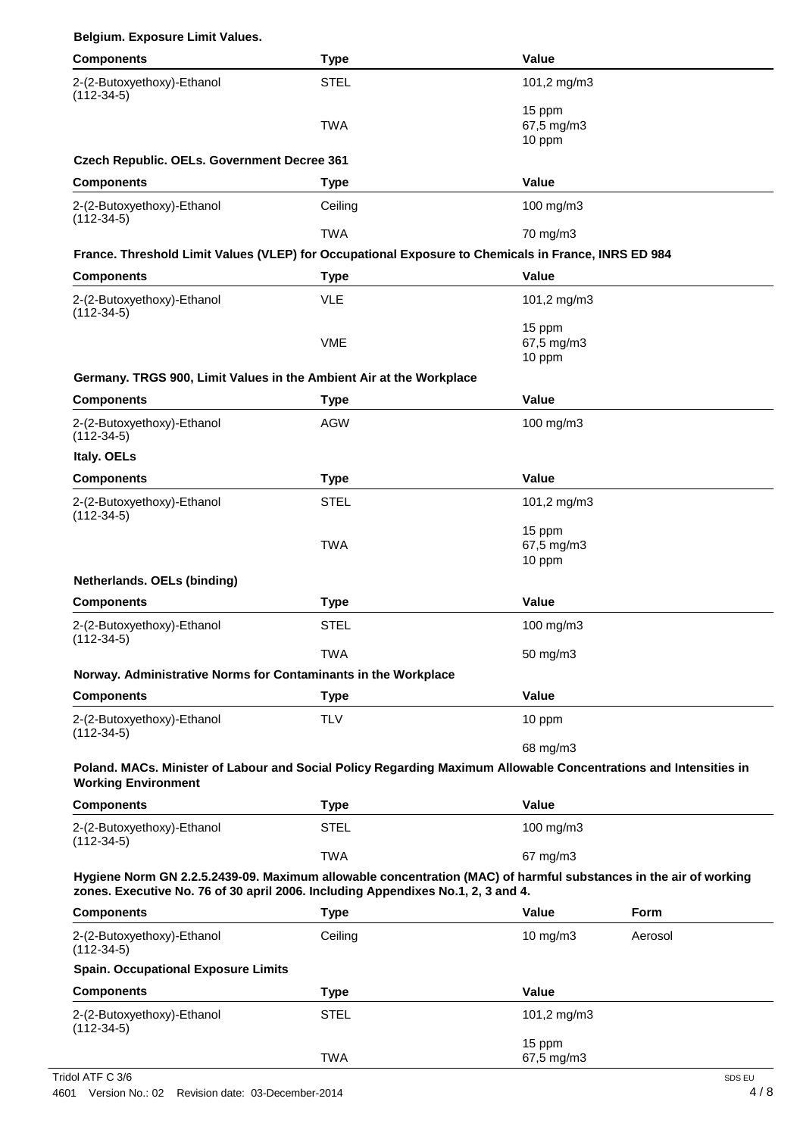|  | Belgium. Exposure Limit Values. |  |  |
|--|---------------------------------|--|--|
|--|---------------------------------|--|--|

| <b>Components</b>                                                                                                                                                                                    | <b>Type</b> | Value                          |         |
|------------------------------------------------------------------------------------------------------------------------------------------------------------------------------------------------------|-------------|--------------------------------|---------|
| 2-(2-Butoxyethoxy)-Ethanol<br>$(112-34-5)$                                                                                                                                                           | <b>STEL</b> | 101,2 mg/m3                    |         |
|                                                                                                                                                                                                      | <b>TWA</b>  | 15 ppm<br>67,5 mg/m3<br>10 ppm |         |
| Czech Republic. OELs. Government Decree 361                                                                                                                                                          |             |                                |         |
| <b>Components</b>                                                                                                                                                                                    | <b>Type</b> | Value                          |         |
| 2-(2-Butoxyethoxy)-Ethanol<br>$(112-34-5)$                                                                                                                                                           | Ceiling     | 100 mg/m3                      |         |
|                                                                                                                                                                                                      | <b>TWA</b>  | 70 mg/m3                       |         |
| France. Threshold Limit Values (VLEP) for Occupational Exposure to Chemicals in France, INRS ED 984                                                                                                  |             |                                |         |
| <b>Components</b>                                                                                                                                                                                    | Type        | <b>Value</b>                   |         |
| 2-(2-Butoxyethoxy)-Ethanol<br>$(112-34-5)$                                                                                                                                                           | <b>VLE</b>  | 101,2 mg/m3                    |         |
|                                                                                                                                                                                                      | <b>VME</b>  | 15 ppm<br>67,5 mg/m3<br>10 ppm |         |
| Germany. TRGS 900, Limit Values in the Ambient Air at the Workplace                                                                                                                                  |             |                                |         |
| <b>Components</b>                                                                                                                                                                                    | <b>Type</b> | <b>Value</b>                   |         |
| 2-(2-Butoxyethoxy)-Ethanol<br>$(112-34-5)$                                                                                                                                                           | <b>AGW</b>  | 100 mg/m3                      |         |
| Italy. OELs                                                                                                                                                                                          |             |                                |         |
| <b>Components</b>                                                                                                                                                                                    | <b>Type</b> | <b>Value</b>                   |         |
| 2-(2-Butoxyethoxy)-Ethanol<br>$(112-34-5)$                                                                                                                                                           | <b>STEL</b> | 101,2 mg/m3                    |         |
|                                                                                                                                                                                                      | <b>TWA</b>  | 15 ppm<br>67,5 mg/m3<br>10 ppm |         |
| Netherlands. OELs (binding)                                                                                                                                                                          |             |                                |         |
| <b>Components</b>                                                                                                                                                                                    | <b>Type</b> | Value                          |         |
| 2-(2-Butoxyethoxy)-Ethanol<br>$(112-34-5)$                                                                                                                                                           | <b>STEL</b> | 100 mg/m3                      |         |
|                                                                                                                                                                                                      | <b>TWA</b>  | 50 mg/m3                       |         |
| Norway. Administrative Norms for Contaminants in the Workplace                                                                                                                                       |             |                                |         |
| <b>Components</b>                                                                                                                                                                                    | <b>Type</b> | Value                          |         |
| 2-(2-Butoxyethoxy)-Ethanol<br>$(112-34-5)$                                                                                                                                                           | <b>TLV</b>  | 10 ppm                         |         |
|                                                                                                                                                                                                      |             | 68 mg/m3                       |         |
| Poland. MACs. Minister of Labour and Social Policy Regarding Maximum Allowable Concentrations and Intensities in<br><b>Working Environment</b>                                                       |             |                                |         |
| <b>Components</b>                                                                                                                                                                                    | <b>Type</b> | Value                          |         |
| 2-(2-Butoxyethoxy)-Ethanol<br>$(112-34-5)$                                                                                                                                                           | <b>STEL</b> | 100 mg/m3                      |         |
|                                                                                                                                                                                                      | <b>TWA</b>  | 67 mg/m3                       |         |
| Hygiene Norm GN 2.2.5.2439-09. Maximum allowable concentration (MAC) of harmful substances in the air of working<br>zones. Executive No. 76 of 30 april 2006. Including Appendixes No.1, 2, 3 and 4. |             |                                |         |
| <b>Components</b>                                                                                                                                                                                    | <b>Type</b> | <b>Value</b>                   | Form    |
| 2-(2-Butoxyethoxy)-Ethanol<br>$(112-34-5)$                                                                                                                                                           | Ceiling     | 10 mg/m3                       | Aerosol |
| <b>Spain. Occupational Exposure Limits</b>                                                                                                                                                           |             |                                |         |
| <b>Components</b>                                                                                                                                                                                    | <b>Type</b> | <b>Value</b>                   |         |
| 2-(2-Butoxyethoxy)-Ethanol<br>$(112-34-5)$                                                                                                                                                           | <b>STEL</b> | 101,2 mg/m3                    |         |
|                                                                                                                                                                                                      | <b>TWA</b>  | 15 ppm<br>67,5 mg/m3           |         |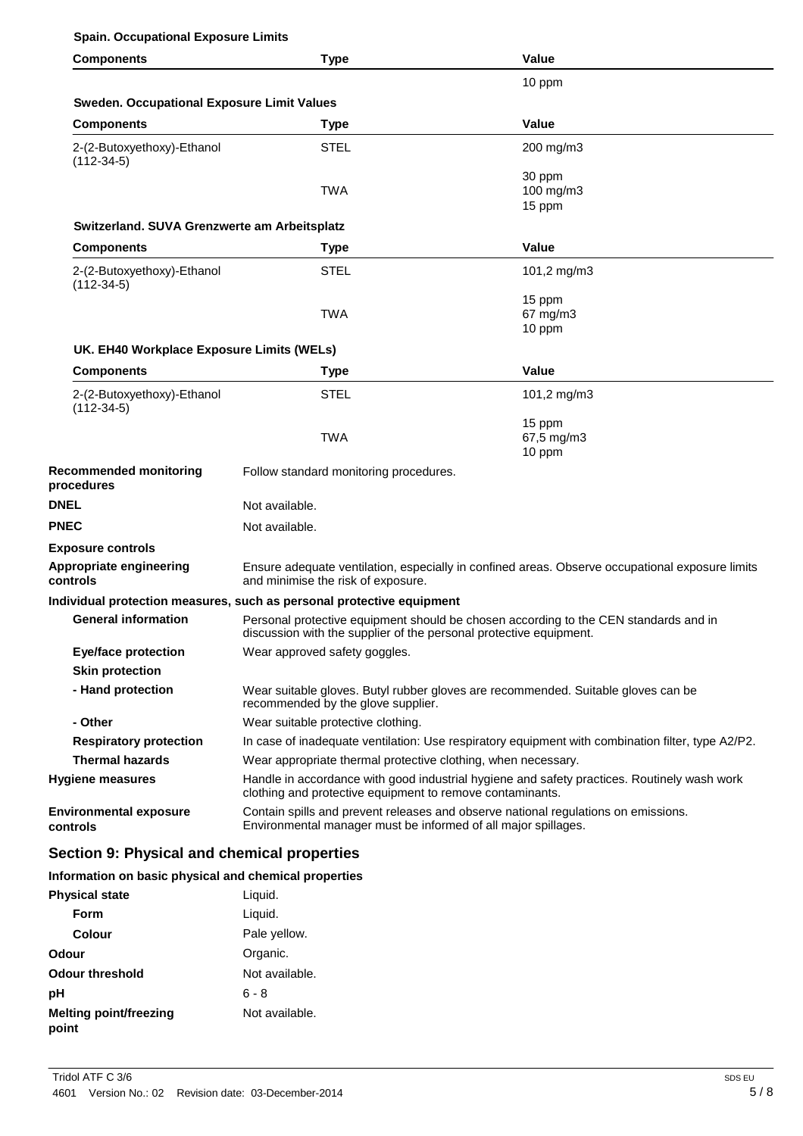### **Spain. Occupational Exposure Limits**

| <b>Components</b>                                 | <b>Type</b>                                                                                                                                                | Value                                                                                             |  |
|---------------------------------------------------|------------------------------------------------------------------------------------------------------------------------------------------------------------|---------------------------------------------------------------------------------------------------|--|
|                                                   |                                                                                                                                                            | 10 ppm                                                                                            |  |
| <b>Sweden. Occupational Exposure Limit Values</b> |                                                                                                                                                            |                                                                                                   |  |
| <b>Components</b>                                 | <b>Type</b>                                                                                                                                                | Value                                                                                             |  |
| 2-(2-Butoxyethoxy)-Ethanol<br>$(112-34-5)$        | <b>STEL</b>                                                                                                                                                | 200 mg/m3                                                                                         |  |
|                                                   | <b>TWA</b>                                                                                                                                                 | 30 ppm<br>100 mg/m3<br>15 ppm                                                                     |  |
| Switzerland. SUVA Grenzwerte am Arbeitsplatz      |                                                                                                                                                            |                                                                                                   |  |
| <b>Components</b>                                 | <b>Type</b>                                                                                                                                                | Value                                                                                             |  |
| 2-(2-Butoxyethoxy)-Ethanol<br>$(112-34-5)$        | <b>STEL</b>                                                                                                                                                | 101,2 mg/m3                                                                                       |  |
|                                                   | <b>TWA</b>                                                                                                                                                 | 15 ppm<br>67 mg/m3<br>10 ppm                                                                      |  |
| UK. EH40 Workplace Exposure Limits (WELs)         |                                                                                                                                                            |                                                                                                   |  |
| <b>Components</b>                                 | <b>Type</b>                                                                                                                                                | Value                                                                                             |  |
| 2-(2-Butoxyethoxy)-Ethanol<br>$(112-34-5)$        | <b>STEL</b>                                                                                                                                                | 101,2 mg/m3                                                                                       |  |
|                                                   | <b>TWA</b>                                                                                                                                                 | 15 ppm<br>67,5 mg/m3<br>10 ppm                                                                    |  |
| <b>Recommended monitoring</b><br>procedures       | Follow standard monitoring procedures.                                                                                                                     |                                                                                                   |  |
| <b>DNEL</b>                                       | Not available.                                                                                                                                             |                                                                                                   |  |
| <b>PNEC</b>                                       | Not available.                                                                                                                                             |                                                                                                   |  |
| <b>Exposure controls</b>                          |                                                                                                                                                            |                                                                                                   |  |
| Appropriate engineering<br>controls               | Ensure adequate ventilation, especially in confined areas. Observe occupational exposure limits<br>and minimise the risk of exposure.                      |                                                                                                   |  |
|                                                   | Individual protection measures, such as personal protective equipment                                                                                      |                                                                                                   |  |
| <b>General information</b>                        | Personal protective equipment should be chosen according to the CEN standards and in<br>discussion with the supplier of the personal protective equipment. |                                                                                                   |  |
| <b>Eye/face protection</b>                        | Wear approved safety goggles.                                                                                                                              |                                                                                                   |  |
| <b>Skin protection</b>                            |                                                                                                                                                            |                                                                                                   |  |
| - Hand protection                                 | Wear suitable gloves. Butyl rubber gloves are recommended. Suitable gloves can be<br>recommended by the glove supplier.                                    |                                                                                                   |  |
| - Other                                           | Wear suitable protective clothing.                                                                                                                         |                                                                                                   |  |
| <b>Respiratory protection</b>                     |                                                                                                                                                            | In case of inadequate ventilation: Use respiratory equipment with combination filter, type A2/P2. |  |
| <b>Thermal hazards</b>                            | Wear appropriate thermal protective clothing, when necessary.                                                                                              |                                                                                                   |  |
| <b>Hygiene measures</b>                           | Handle in accordance with good industrial hygiene and safety practices. Routinely wash work<br>clothing and protective equipment to remove contaminants.   |                                                                                                   |  |
| <b>Environmental exposure</b><br>controls         | Environmental manager must be informed of all major spillages.                                                                                             | Contain spills and prevent releases and observe national regulations on emissions.                |  |

### **Section 9: Physical and chemical properties**

### **Information on basic physical and chemical properties**

| <b>Physical state</b>                  | Liquid.        |
|----------------------------------------|----------------|
| Form                                   | Liquid.        |
| Colour                                 | Pale yellow.   |
| Odour                                  | Organic.       |
| Odour threshold                        | Not available. |
| рH                                     | ճ - ጸ          |
| <b>Melting point/freezing</b><br>point | Not available. |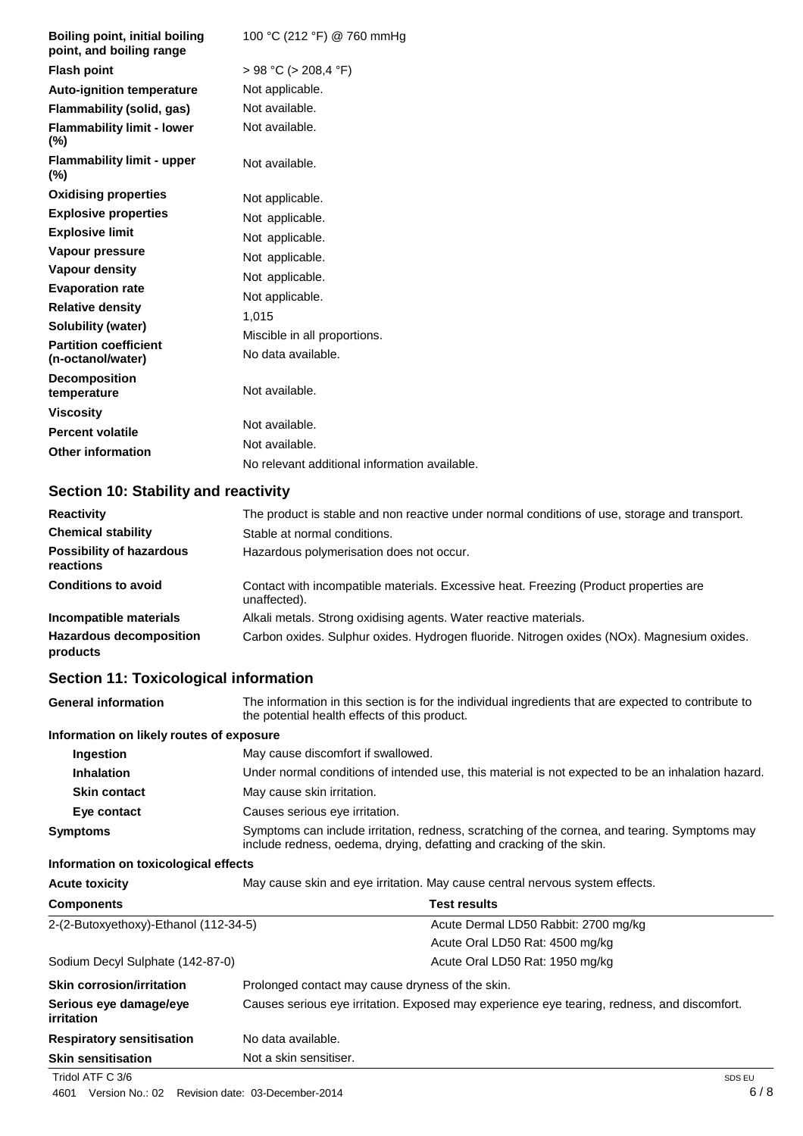| Boiling point, initial boiling<br>point, and boiling range | 100 °C (212 °F) @ 760 mmHg                    |
|------------------------------------------------------------|-----------------------------------------------|
| <b>Flash point</b>                                         | $> 98$ °C ( $> 208.4$ °F)                     |
| <b>Auto-ignition temperature</b>                           | Not applicable.                               |
| <b>Flammability (solid, gas)</b>                           | Not available.                                |
| <b>Flammability limit - lower</b><br>$(\%)$                | Not available.                                |
| <b>Flammability limit - upper</b><br>$(\%)$                | Not available.                                |
| <b>Oxidising properties</b>                                | Not applicable.                               |
| <b>Explosive properties</b>                                | Not applicable.                               |
| <b>Explosive limit</b>                                     | Not applicable.                               |
| Vapour pressure                                            | Not applicable.                               |
| <b>Vapour density</b>                                      | Not applicable.                               |
| <b>Evaporation rate</b>                                    | Not applicable.                               |
| <b>Relative density</b>                                    | 1,015                                         |
| <b>Solubility (water)</b>                                  | Miscible in all proportions.                  |
| <b>Partition coefficient</b><br>(n-octanol/water)          | No data available.                            |
| <b>Decomposition</b><br>temperature                        | Not available.                                |
| <b>Viscosity</b>                                           |                                               |
| <b>Percent volatile</b>                                    | Not available.                                |
| <b>Other information</b>                                   | Not available.                                |
|                                                            | No relevant additional information available. |

## **Section 10: Stability and reactivity**

| <b>Reactivity</b>                            | The product is stable and non reactive under normal conditions of use, storage and transport.         |
|----------------------------------------------|-------------------------------------------------------------------------------------------------------|
| <b>Chemical stability</b>                    | Stable at normal conditions.                                                                          |
| <b>Possibility of hazardous</b><br>reactions | Hazardous polymerisation does not occur.                                                              |
| <b>Conditions to avoid</b>                   | Contact with incompatible materials. Excessive heat. Freezing (Product properties are<br>unaffected). |
| Incompatible materials                       | Alkali metals. Strong oxidising agents. Water reactive materials.                                     |
| <b>Hazardous decomposition</b><br>products   | Carbon oxides. Sulphur oxides. Hydrogen fluoride. Nitrogen oxides (NOx). Magnesium oxides.            |

## **Section 11: Toxicological information**

| <b>General information</b>               | the potential health effects of this product.                                                                                                                         | The information in this section is for the individual ingredients that are expected to contribute to |
|------------------------------------------|-----------------------------------------------------------------------------------------------------------------------------------------------------------------------|------------------------------------------------------------------------------------------------------|
| Information on likely routes of exposure |                                                                                                                                                                       |                                                                                                      |
| Ingestion                                | May cause discomfort if swallowed.                                                                                                                                    |                                                                                                      |
| <b>Inhalation</b>                        | Under normal conditions of intended use, this material is not expected to be an inhalation hazard.                                                                    |                                                                                                      |
| <b>Skin contact</b>                      | May cause skin irritation.                                                                                                                                            |                                                                                                      |
| Eye contact                              | Causes serious eye irritation.                                                                                                                                        |                                                                                                      |
| <b>Symptoms</b>                          | Symptoms can include irritation, redness, scratching of the cornea, and tearing. Symptoms may<br>include redness, oedema, drying, defatting and cracking of the skin. |                                                                                                      |
| Information on toxicological effects     |                                                                                                                                                                       |                                                                                                      |
| <b>Acute toxicity</b>                    | May cause skin and eye irritation. May cause central nervous system effects.                                                                                          |                                                                                                      |
| <b>Components</b>                        | <b>Test results</b>                                                                                                                                                   |                                                                                                      |
| 2-(2-Butoxyethoxy)-Ethanol (112-34-5)    |                                                                                                                                                                       | Acute Dermal LD50 Rabbit: 2700 mg/kg                                                                 |
|                                          |                                                                                                                                                                       | Acute Oral LD50 Rat: 4500 mg/kg                                                                      |
| Sodium Decyl Sulphate (142-87-0)         |                                                                                                                                                                       | Acute Oral LD50 Rat: 1950 mg/kg                                                                      |
| <b>Skin corrosion/irritation</b>         | Prolonged contact may cause dryness of the skin.                                                                                                                      |                                                                                                      |
| Serious eye damage/eye<br>irritation     | Causes serious eye irritation. Exposed may experience eye tearing, redness, and discomfort.                                                                           |                                                                                                      |
| <b>Respiratory sensitisation</b>         | No data available.                                                                                                                                                    |                                                                                                      |
| <b>Skin sensitisation</b>                | Not a skin sensitiser.                                                                                                                                                |                                                                                                      |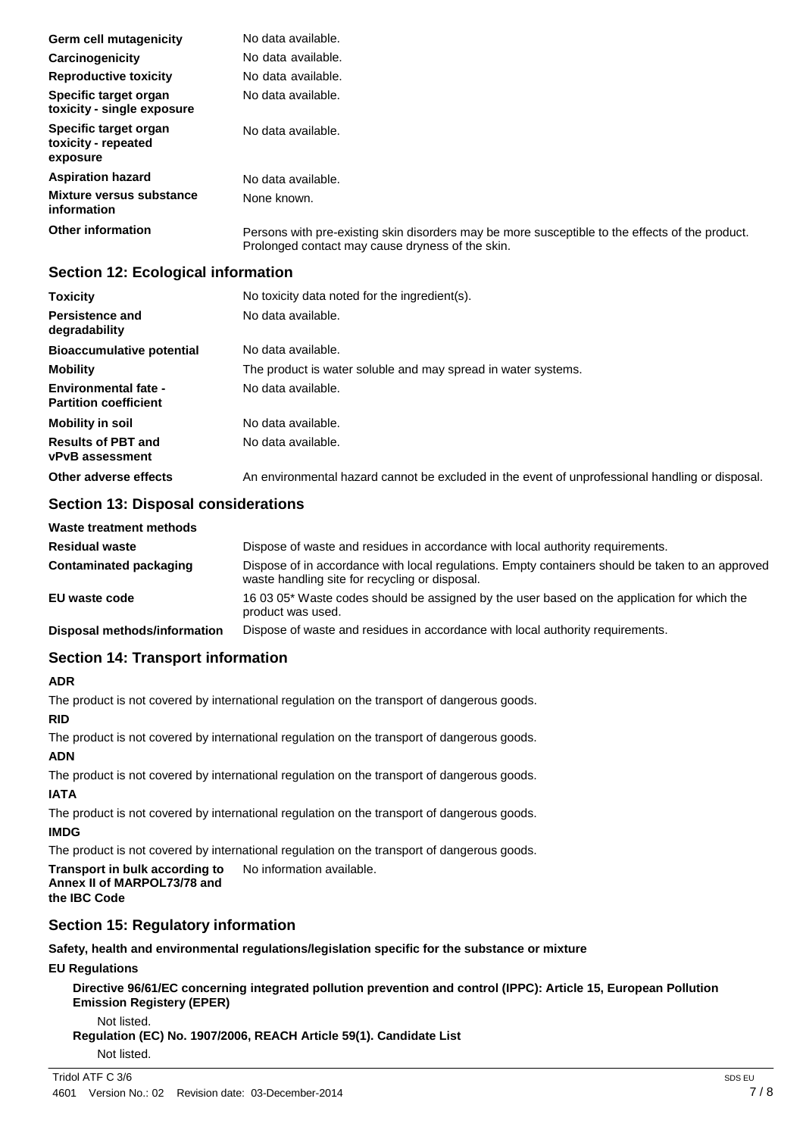| Germ cell mutagenicity                                   | No data available.                                                                                                                                  |
|----------------------------------------------------------|-----------------------------------------------------------------------------------------------------------------------------------------------------|
| Carcinogenicity                                          | No data available.                                                                                                                                  |
| <b>Reproductive toxicity</b>                             | No data available.                                                                                                                                  |
| Specific target organ<br>toxicity - single exposure      | No data available.                                                                                                                                  |
| Specific target organ<br>toxicity - repeated<br>exposure | No data available.                                                                                                                                  |
| <b>Aspiration hazard</b>                                 | No data available.                                                                                                                                  |
| Mixture versus substance<br>information                  | None known.                                                                                                                                         |
| <b>Other information</b>                                 | Persons with pre-existing skin disorders may be more susceptible to the effects of the product.<br>Prolonged contact may cause dryness of the skin. |

### **Section 12: Ecological information**

| <b>Toxicity</b>                                             | No toxicity data noted for the ingredient(s).                                                   |
|-------------------------------------------------------------|-------------------------------------------------------------------------------------------------|
| <b>Persistence and</b><br>degradability                     | No data available.                                                                              |
| <b>Bioaccumulative potential</b>                            | No data available.                                                                              |
| <b>Mobility</b>                                             | The product is water soluble and may spread in water systems.                                   |
| <b>Environmental fate -</b><br><b>Partition coefficient</b> | No data available.                                                                              |
| <b>Mobility in soil</b>                                     | No data available.                                                                              |
| <b>Results of PBT and</b><br><b>vPvB</b> assessment         | No data available.                                                                              |
| Other adverse effects                                       | An environmental hazard cannot be excluded in the event of unprofessional handling or disposal. |

### **Section 13: Disposal considerations**

| Waste treatment methods      |                                                                                                                                                    |
|------------------------------|----------------------------------------------------------------------------------------------------------------------------------------------------|
| <b>Residual waste</b>        | Dispose of waste and residues in accordance with local authority requirements.                                                                     |
| Contaminated packaging       | Dispose of in accordance with local regulations. Empty containers should be taken to an approved<br>waste handling site for recycling or disposal. |
| EU waste code                | 16 03 05* Waste codes should be assigned by the user based on the application for which the<br>product was used.                                   |
| Disposal methods/information | Dispose of waste and residues in accordance with local authority requirements.                                                                     |

### **Section 14: Transport information**

### **ADR**

The product is not covered by international regulation on the transport of dangerous goods.

### **RID**

The product is not covered by international regulation on the transport of dangerous goods.

### **ADN**

The product is not covered by international regulation on the transport of dangerous goods.

### **IATA**

The product is not covered by international regulation on the transport of dangerous goods.

### **IMDG**

The product is not covered by international regulation on the transport of dangerous goods.

#### **Transport in bulk according to Annex II of MARPOL73/78 and the IBC Code** No information available.

### **Section 15: Regulatory information**

**Safety, health and environmental regulations/legislation specific for the substance or mixture**

### **EU Regulations**

**Directive 96/61/EC concerning integrated pollution prevention and control (IPPC): Article 15, European Pollution Emission Registery (EPER)**

### Not listed.

**Regulation (EC) No. 1907/2006, REACH Article 59(1). Candidate List**

Not listed.